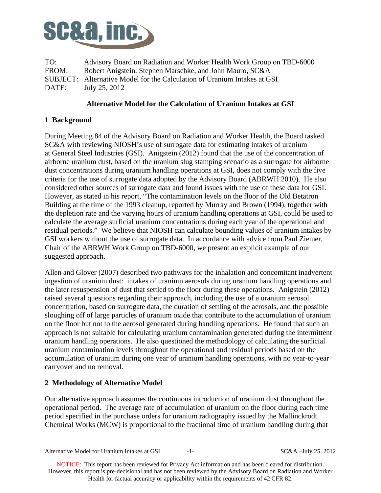

TO: Advisory Board on Radiation and Worker Health Work Group on TBD-6000 FROM: Robert Anigstein, Stephen Marschke, and John Mauro, SC&A SUBJECT: Alternative Model for the Calculation of Uranium Intakes at GSI DATE: July 25, 2012

## **Alternative Model for the Calculation of Uranium Intakes at GSI**

# **1 Background**

During Meeting 84 of the Advisory Board on Radiation and Worker Health, the Board tasked SC&A with reviewing NIOSH's use of surrogate data for estimating intakes of uranium at General Steel Industries (GSI). Anigstein (2012) found that the use of the concentration of airborne uranium dust, based on the uranium slug stamping scenario as a surrogate for airborne dust concentrations during uranium handling operations at GSI, does not comply with the five criteria for the use of surrogate data adopted by the Advisory Board (ABRWH 2010). He also considered other sources of surrogate data and found issues with the use of these data for GSI. However, as stated in his report, "The contamination levels on the floor of the Old Betatron Building at the time of the 1993 cleanup, reported by Murray and Brown (1994), together with the depletion rate and the varying hours of uranium handling operations at GSI, could be used to calculate the average surficial uranium concentrations during each year of the operational and residual periods." We believe that NIOSH can calculate bounding values of uranium intakes by GSI workers without the use of surrogate data. In accordance with advice from Paul Ziemer, Chair of the ABRWH Work Group on TBD-6000, we present an explicit example of our suggested approach.

Allen and Glover (2007) described two pathways for the inhalation and concomitant inadvertent ingestion of uranium dust: intakes of uranium aerosols during uranium handling operations and the later resuspension of dust that settled to the floor during these operations. Anigstein (2012) raised several questions regarding their approach, including the use of a uranium aerosol concentration, based on surrogate data, the duration of settling of the aerosols, and the possible sloughing off of large particles of uranium oxide that contribute to the accumulation of uranium on the floor but not to the aerosol generated during handling operations. He found that such an approach is not suitable for calculating uranium contamination generated during the intermittent uranium handling operations. He also questioned the methodology of calculating the surficial uranium contamination levels throughout the operational and residual periods based on the accumulation of uranium during one year of uranium handling operations, with no year-to-year carryover and no removal.

## **2 Methodology of Alternative Model**

Our alternative approach assumes the continuous introduction of uranium dust throughout the operational period. The average rate of accumulation of uranium on the floor during each time period specified in the purchase orders for uranium radiography issued by the Mallinckrodt Chemical Works (MCW) is proportional to the fractional time of uranium handling during that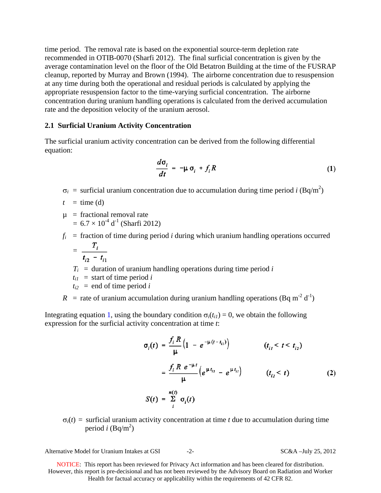time period. The removal rate is based on the exponential source-term depletion rate recommended in OTIB-0070 (Sharfi 2012). The final surficial concentration is given by the average contamination level on the floor of the Old Betatron Building at the time of the FUSRAP cleanup, reported by Murray and Brown (1994). The airborne concentration due to resuspension at any time during both the operational and residual periods is calculated by applying the appropriate resuspension factor to the time-varying surficial concentration. The airborne concentration during uranium handling operations is calculated from the derived accumulation rate and the deposition velocity of the uranium aerosol.

### **2.1 Surficial Uranium Activity Concentration**

The surficial uranium activity concentration can be derived from the following differential equation:

$$
\frac{d\sigma_i}{dt} = -\mu \sigma_i + f_i R \tag{1}
$$

 $\sigma_i$  = surficial uranium concentration due to accumulation during time period *i* (Bq/m<sup>2</sup>)

 $t = \text{time (d)}$ 

 $\mu$  = fractional removal rate  $= 6.7 \times 10^{-4}$  d<sup>-1</sup> (Sharfi 2012)

 $f_i$  = fraction of time during period *i* during which uranium handling operations occurred  $T$ 

$$
=\frac{-i}{t_{i2}-t_{i1}}
$$

 $T_i$  = duration of uranium handling operations during time period *i* 

 $t_{i1}$  = start of time period *i* 

 $t_{i2}$  = end of time period *i* 

*R* = rate of uranium accumulation during uranium handling operations (Bq m<sup>-2</sup> d<sup>-1</sup>)

Integrating equation 1, using the boundary condition  $\sigma_i(t_{ii}) = 0$ , we obtain the following expression for the surficial activity concentration at time *t*:

$$
\sigma_i(t) = \frac{f_i R}{\mu} \left( 1 - e^{-\mu (t - t_{i1})} \right) \qquad (t_{i1} < t < t_{i2})
$$
  

$$
= \frac{f_i R e^{-\mu t}}{\mu} \left( e^{\mu t_{i2}} - e^{\mu t_{i1}} \right) \qquad (t_{i2} < t)
$$
  

$$
S(t) = \sum_{i=1}^{n(t)} \sigma_i(t)
$$
 (2)

 $\sigma_i(t)$  = surficial uranium activity concentration at time *t* due to accumulation during time period *i* (Bq/m<sup>2</sup>)

Alternative Model for Uranium Intakes at GSI  $-2$ - SC&A –July 25, 2012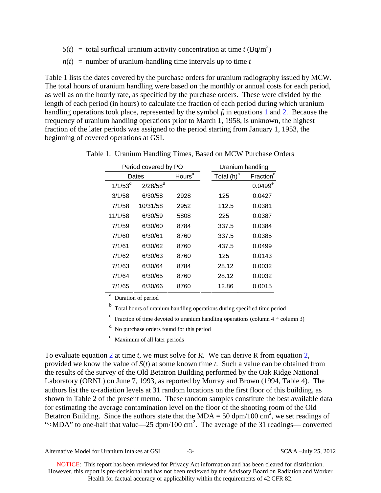- $S(t) =$  total surficial uranium activity concentration at time *t* (Bq/m<sup>2</sup>)
- $n(t)$  = number of uranium-handling time intervals up to time *t*

Table 1 lists the dates covered by the purchase orders for uranium radiography issued by MCW. The total hours of uranium handling were based on the monthly or annual costs for each period, as well as on the hourly rate, as specified by the purchase orders. These were divided by the length of each period (in hours) to calculate the fraction of each period during which uranium handling operations took place, represented by the symbol  $f_i$  in equations 1 and 2. Because the frequency of uranium handling operations prior to March 1, 1958, is unknown, the highest fraction of the later periods was assigned to the period starting from January 1, 1953, the beginning of covered operations at GSI.

|            | Period covered by PO | Uranium handling   |                        |                       |
|------------|----------------------|--------------------|------------------------|-----------------------|
| Dates      |                      | Hours <sup>a</sup> | Total (h) <sup>b</sup> | Fraction <sup>c</sup> |
| $1/1/53^d$ | $2/28/58^d$          |                    |                        | $0.0499^e$            |
| 3/1/58     | 6/30/58              | 2928               | 125                    | 0.0427                |
| 7/1/58     | 10/31/58             | 2952               | 112.5                  | 0.0381                |
| 11/1/58    | 6/30/59              | 5808               | 225                    | 0.0387                |
| 7/1/59     | 6/30/60              | 8784               | 337.5                  | 0.0384                |
| 7/1/60     | 6/30/61              | 8760               | 337.5                  | 0.0385                |
| 7/1/61     | 6/30/62              | 8760               | 437.5                  | 0.0499                |
| 7/1/62     | 6/30/63              | 8760               | 125                    | 0.0143                |
| 7/1/63     | 6/30/64              | 8784               | 28.12                  | 0.0032                |
| 7/1/64     | 6/30/65              | 8760               | 28.12                  | 0.0032                |
| 7/1/65     | 6/30/66              | 8760               | 12.86                  | 0.0015                |

Table 1. Uranium Handling Times, Based on MCW Purchase Orders

a Duration of period

b Total hours of uranium handling operations during specified time period

<sup>c</sup> Fraction of time devoted to uranium handling operations (column  $4 \div$  column 3)

d No purchase orders found for this period

e Maximum of all later periods

To evaluate equation 2 at time *t*, we must solve for *R*. We can derive R from equation 2, provided we know the value of *S*(*t*) at some known time *t*. Such a value can be obtained from the results of the survey of the Old Betatron Building performed by the Oak Ridge National Laboratory (ORNL) on June 7, 1993, as reported by Murray and Brown (1994, Table 4). The authors list the  $\alpha$ -radiation levels at 31 random locations on the first floor of this building, as shown in Table 2 of the present memo. These random samples constitute the best available data for estimating the average contamination level on the floor of the shooting room of the Old Betatron Building. Since the authors state that the MDA = 50 dpm/100 cm<sup>2</sup>, we set readings of "<MDA" to one-half that value—25  $dpm/100$  cm<sup>2</sup>. The average of the 31 readings— converted

Alternative Model for Uranium Intakes at GSI  $-3$ - SC&A –July 25, 2012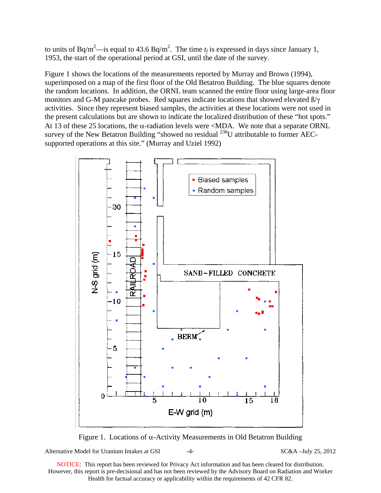to units of Bq/m<sup>2</sup>—is equal to 43.6 Bq/m<sup>2</sup>. The time  $t_f$  is expressed in days since January 1, 1953, the start of the operational period at GSI, until the date of the survey.

Figure 1 shows the locations of the measurements reported by Murray and Brown (1994), superimposed on a map of the first floor of the Old Betatron Building. The blue squares denote the random locations. In addition, the ORNL team scanned the entire floor using large-area floor monitors and G-M pancake probes. Red squares indicate locations that showed elevated  $\beta/\gamma$ activities. Since they represent biased samples, the activities at these locations were not used in the present calculations but are shown to indicate the localized distribution of these "hot spots." At 13 of these 25 locations, the  $\alpha$ -radiation levels were <MDA. We note that a separate ORNL survey of the New Betatron Building "showed no residual <sup>238</sup>U attributable to former AECsupported operations at this site." (Murray and Uziel 1992)



Figure 1. Locations of  $\alpha$ -Activity Measurements in Old Betatron Building

Alternative Model for Uranium Intakes at GSI  $-4-$  SC&A –July 25, 2012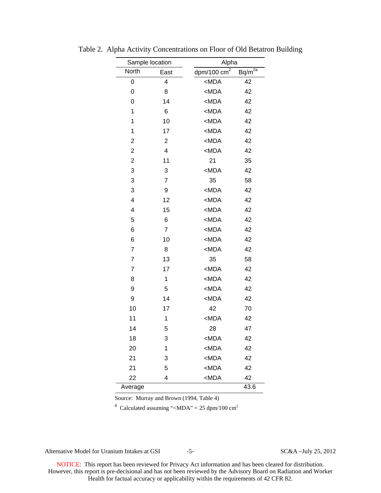| Sample location |                         |                                   | Alpha       |  |  |  |
|-----------------|-------------------------|-----------------------------------|-------------|--|--|--|
| North           | East                    | $\frac{dpm}{100}$ cm <sup>2</sup> | $Bq/m^{2a}$ |  |  |  |
| 0               | 4                       | $MDA$                             | 42          |  |  |  |
| 0               | 8                       | $MDA$                             | 42          |  |  |  |
| 0               | 14                      | $MDA$                             | 42          |  |  |  |
| 1               | 6                       | $MDA$                             | 42          |  |  |  |
| 1               | 10                      | $MDA$                             | 42          |  |  |  |
| 1               | 17                      | $MDA$                             | 42          |  |  |  |
| $\overline{c}$  | $\overline{\mathbf{c}}$ | $MDA$                             | 42          |  |  |  |
| $\overline{c}$  | 4                       | $MDA$                             | 42          |  |  |  |
| $\overline{2}$  | 11                      | 21                                | 35          |  |  |  |
| 3               | 3                       | $MDA$                             | 42          |  |  |  |
| 3               | $\overline{7}$          | 35                                | 58          |  |  |  |
| 3               | 9                       | $MDA$                             | 42          |  |  |  |
| 4               | 12                      | $MDA$                             | 42          |  |  |  |
| 4               | 15                      | $MDA$                             | 42          |  |  |  |
| 5               | 6                       | $MDA$                             | 42          |  |  |  |
| 6               | $\overline{7}$          | $MDA$                             | 42          |  |  |  |
| 6               | 10                      | $MDA$                             | 42          |  |  |  |
| $\overline{7}$  | 8                       | $MDA$                             | 42          |  |  |  |
| $\overline{7}$  | 13                      | 35                                | 58          |  |  |  |
| $\overline{7}$  | 17                      | $MDA$                             | 42          |  |  |  |
| 8               | 1                       | $MDA$                             | 42          |  |  |  |
| 9               | 5                       | $MDA$                             | 42          |  |  |  |
| 9               | 14                      | $MDA$                             | 42          |  |  |  |
| 10              | 17                      | 42                                | 70          |  |  |  |
| 11              | 1                       | $MDA$                             | 42          |  |  |  |
| 14              | 5                       | 28                                | 47          |  |  |  |
| 18              | 3                       | <mda< td=""><td>42</td></mda<>    | 42          |  |  |  |
| 20              | 1                       | $MDA$                             | 42          |  |  |  |
| 21              | 3                       | $MDA$                             | 42          |  |  |  |
| 21              | 5                       | $MDA$                             | 42          |  |  |  |
| 22              | 4                       | $MDA$                             | 42          |  |  |  |
| Average         |                         |                                   | 43.6        |  |  |  |

Table 2. Alpha Activity Concentrations on Floor of Old Betatron Building

Source: Murray and Brown (1994, Table 4)

<sup>a</sup> Calculated assuming "<MDA" = 25 dpm/100 cm<sup>2</sup>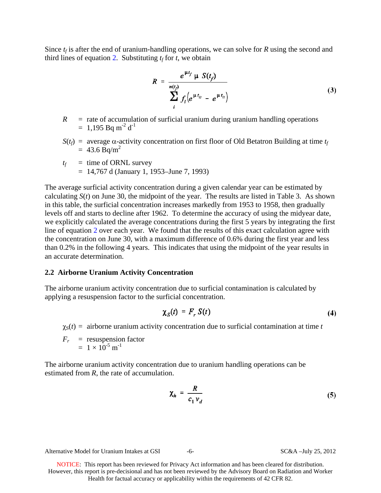Since  $t_f$  is after the end of uranium-handling operations, we can solve for *R* using the second and third lines of equation 2. Substituting  $t_f$  for  $t$ , we obtain

$$
R = \frac{e^{\mu t_f} \mu S(t_f)}{\sum_{i}^{n(t_f)} f_i (e^{\mu t_u} - e^{\mu t_u})}
$$
(3)

- $\mathbb{R}$ = rate of accumulation of surficial uranium during uranium handling operations  $= 1.195$  Bq m<sup>-2</sup> d<sup>-1</sup>
- $S(t_f)$  = average  $\alpha$ -activity concentration on first floor of Old Betatron Building at time  $t_f$  $= 43.6$  Bg/m<sup>2</sup>

$$
t_f = \text{time of ORNL survey}
$$
  
= 14,767 d (January 1, 1953–June 7, 1993)

The average surficial activity concentration during a given calendar year can be estimated by calculating  $S(t)$  on June 30, the midpoint of the year. The results are listed in Table 3. As shown in this table, the surficial concentration increases markedly from 1953 to 1958, then gradually levels off and starts to decline after 1962. To determine the accuracy of using the midyear date, we explicitly calculated the average concentrations during the first 5 years by integrating the first line of equation 2 over each year. We found that the results of this exact calculation agree with the concentration on June 30, with a maximum difference of 0.6% during the first year and less than 0.2% in the following 4 years. This indicates that using the midpoint of the year results in an accurate determination.

#### **2.2 Airborne Uranium Activity Concentration**

The airborne uranium activity concentration due to surficial contamination is calculated by applying a resuspension factor to the surficial concentration.

$$
\chi_S(t) = F_r S(t) \tag{4}
$$

 $\gamma_s(t)$  = airborne uranium activity concentration due to surficial contamination at time *t* 

$$
F_r = \text{resuspension factor} = 1 \times 10^{-5} \text{ m}^{-1}
$$

The airborne uranium activity concentration due to uranium handling operations can be estimated from *R*, the rate of accumulation.

$$
\chi_h = \frac{R}{c_1 v_d} \tag{5}
$$

Alternative Model for Uranium Intakes at GSI  $-6-$  SC&A –July 25, 2012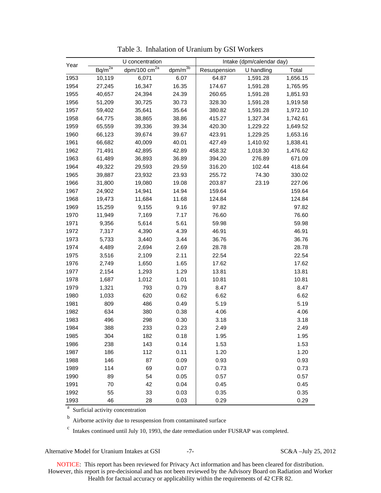| Year | U concentration        |                |              | Intake (dpm/calendar day) |            |          |
|------|------------------------|----------------|--------------|---------------------------|------------|----------|
|      | $Bq/m^{\overline{2a}}$ | dpm/100 $cm2a$ | $dpm/m^{3b}$ | Resuspension              | U handling | Total    |
| 1953 | 10,119                 | 6,071          | 6.07         | 64.87                     | 1,591.28   | 1,656.15 |
| 1954 | 27,245                 | 16,347         | 16.35        | 174.67                    | 1,591.28   | 1,765.95 |
| 1955 | 40,657                 | 24,394         | 24.39        | 260.65                    | 1,591.28   | 1,851.93 |
| 1956 | 51,209                 | 30,725         | 30.73        | 328.30                    | 1,591.28   | 1,919.58 |
| 1957 | 59,402                 | 35,641         | 35.64        | 380.82                    | 1,591.28   | 1,972.10 |
| 1958 | 64,775                 | 38,865         | 38.86        | 415.27                    | 1,327.34   | 1,742.61 |
| 1959 | 65,559                 | 39,336         | 39.34        | 420.30                    | 1,229.22   | 1,649.52 |
| 1960 | 66,123                 | 39,674         | 39.67        | 423.91                    | 1,229.25   | 1,653.16 |
| 1961 | 66,682                 | 40,009         | 40.01        | 427.49                    | 1,410.92   | 1,838.41 |
| 1962 | 71,491                 | 42,895         | 42.89        | 458.32                    | 1,018.30   | 1,476.62 |
| 1963 | 61,489                 | 36,893         | 36.89        | 394.20                    | 276.89     | 671.09   |
| 1964 | 49,322                 | 29,593         | 29.59        | 316.20                    | 102.44     | 418.64   |
| 1965 | 39,887                 | 23,932         | 23.93        | 255.72                    | 74.30      | 330.02   |
| 1966 | 31,800                 | 19,080         | 19.08        | 203.87                    | 23.19      | 227.06   |
| 1967 | 24,902                 | 14,941         | 14.94        | 159.64                    |            | 159.64   |
| 1968 | 19,473                 | 11,684         | 11.68        | 124.84                    |            | 124.84   |
| 1969 | 15,259                 | 9,155          | 9.16         | 97.82                     |            | 97.82    |
| 1970 | 11,949                 | 7,169          | 7.17         | 76.60                     |            | 76.60    |
| 1971 | 9,356                  | 5,614          | 5.61         | 59.98                     |            | 59.98    |
| 1972 | 7,317                  | 4,390          | 4.39         | 46.91                     |            | 46.91    |
| 1973 | 5,733                  | 3,440          | 3.44         | 36.76                     |            | 36.76    |
| 1974 | 4,489                  | 2,694          | 2.69         | 28.78                     |            | 28.78    |
| 1975 | 3,516                  | 2,109          | 2.11         | 22.54                     |            | 22.54    |
| 1976 | 2,749                  | 1,650          | 1.65         | 17.62                     |            | 17.62    |
| 1977 | 2,154                  | 1,293          | 1.29         | 13.81                     |            | 13.81    |
| 1978 | 1,687                  | 1,012          | 1.01         | 10.81                     |            | 10.81    |
| 1979 | 1,321                  | 793            | 0.79         | 8.47                      |            | 8.47     |
| 1980 | 1,033                  | 620            | 0.62         | 6.62                      |            | 6.62     |
| 1981 | 809                    | 486            | 0.49         | 5.19                      |            | 5.19     |
| 1982 | 634                    | 380            | 0.38         | 4.06                      |            | 4.06     |
| 1983 | 496                    | 298            | 0.30         | 3.18                      |            | 3.18     |
| 1984 | 388                    | 233            | 0.23         | 2.49                      |            | 2.49     |
| 1985 | 304                    | 182            | 0.18         | 1.95                      |            | 1.95     |
| 1986 | 238                    | 143            | 0.14         | 1.53                      |            | 1.53     |
| 1987 | 186                    | 112            | 0.11         | 1.20                      |            | 1.20     |
| 1988 | 146                    | 87             | 0.09         | 0.93                      |            | 0.93     |
| 1989 | 114                    | 69             | 0.07         | 0.73                      |            | 0.73     |
| 1990 | 89                     | 54             | 0.05         | 0.57                      |            | 0.57     |
| 1991 | 70                     | 42             | 0.04         | 0.45                      |            | 0.45     |
| 1992 | 55                     | 33             | 0.03         | 0.35                      |            | 0.35     |
| 1993 | 46                     | 28             | 0.03         | 0.29                      |            | 0.29     |

Table 3. Inhalation of Uranium by GSI Workers

<sup>a</sup> Surficial activity concentration

b Airborne activity due to resuspension from contaminated surface

 $\degree$  Intakes continued until July 10, 1993, the date remediation under FUSRAP was completed.

Alternative Model for Uranium Intakes at GSI -7- SC&A –July 25, 2012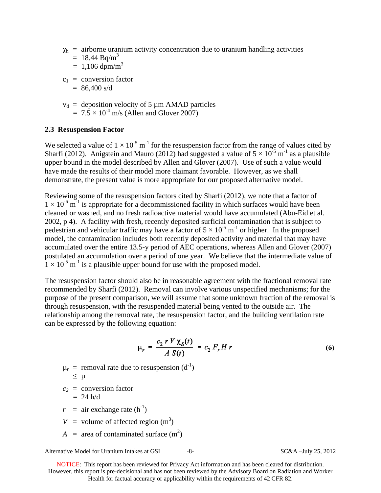- $\chi_h$  = airborne uranium activity concentration due to uranium handling activities
	- $= 18.44$  Bq/m<sup>3</sup>
	- $= 1,106$  dpm/m<sup>3</sup>
- $c_1$  = conversion factor
	- $= 86,400 \text{ s/d}$
- $v_d$  = deposition velocity of 5  $\mu$ m AMAD particles  $= 7.5 \times 10^{-4}$  m/s (Allen and Glover 2007)

### **2.3 Resuspension Factor**

We selected a value of  $1 \times 10^{-5}$  m<sup>-1</sup> for the resuspension factor from the range of values cited by Sharfi (2012). Anigstein and Mauro (2012) had suggested a value of  $5 \times 10^{-5}$  m<sup>-1</sup> as a plausible upper bound in the model described by Allen and Glover (2007). Use of such a value would have made the results of their model more claimant favorable. However, as we shall demonstrate, the present value is more appropriate for our proposed alternative model.

Reviewing some of the resuspension factors cited by Sharfi (2012), we note that a factor of  $1 \times 10^{-6}$  m<sup>-1</sup> is appropriate for a decommissioned facility in which surfaces would have been cleaned or washed, and no fresh radioactive material would have accumulated (Abu-Eid et al. 2002, p 4). A facility with fresh, recently deposited surficial contamination that is subject to pedestrian and vehicular traffic may have a factor of  $5 \times 10^{-5}$  m<sup>-1</sup> or higher. In the proposed model, the contamination includes both recently deposited activity and material that may have accumulated over the entire 13.5-y period of AEC operations, whereas Allen and Glover (2007) postulated an accumulation over a period of one year. We believe that the intermediate value of  $1 \times 10^{-5}$  m<sup>-1</sup> is a plausible upper bound for use with the proposed model.

The resuspension factor should also be in reasonable agreement with the fractional removal rate recommended by Sharfi (2012). Removal can involve various unspecified mechanisms; for the purpose of the present comparison, we will assume that some unknown fraction of the removal is through resuspension, with the resuspended material being vented to the outside air. The relationship among the removal rate, the resuspension factor, and the building ventilation rate can be expressed by the following equation:

$$
\mu_r = \frac{c_2 \ r \ V \chi_S(t)}{A \ S(t)} = c_2 \ F_r H \ r \tag{6}
$$

 $\mu_r$  = removal rate due to resuspension (d<sup>-1</sup>)

$$
\leq \ \mu
$$

 $c_2$  = conversion factor  $= 24$  h/d

- $r = \text{air exchange rate } (\text{h}^{-1})$
- $V =$  volume of affected region  $(m<sup>3</sup>)$
- $A = \text{area of contaminated surface (m}^2)$

Alternative Model for Uranium Intakes at GSI  $-8$ - SC&A –July 25, 2012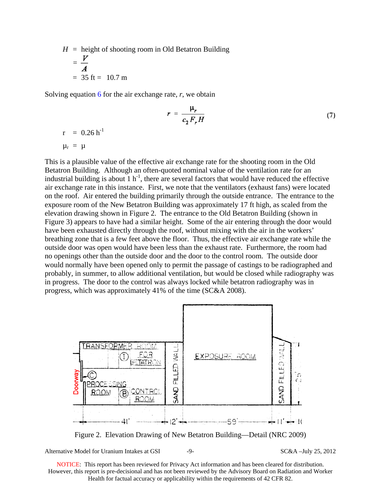$H =$  height of shooting room in Old Betatron Building  $=\frac{V}{4}$  $= 35$  ft  $= 10.7$  m

Solving equation 6 for the air exchange rate, *r*, we obtain

$$
r = \frac{\mu_r}{c_2 F_r H} \tag{7}
$$

$$
r = 0.26 h^{-1}
$$
  

$$
\mu_r = \mu
$$

This is a plausible value of the effective air exchange rate for the shooting room in the Old Betatron Building. Although an often-quoted nominal value of the ventilation rate for an industrial building is about  $1 h^{-1}$ , there are several factors that would have reduced the effective air exchange rate in this instance. First, we note that the ventilators (exhaust fans) were located on the roof. Air entered the building primarily through the outside entrance. The entrance to the exposure room of the New Betatron Building was approximately 17 ft high, as scaled from the elevation drawing shown in Figure 2. The entrance to the Old Betatron Building (shown in Figure 3) appears to have had a similar height. Some of the air entering through the door would have been exhausted directly through the roof, without mixing with the air in the workers' breathing zone that is a few feet above the floor. Thus, the effective air exchange rate while the outside door was open would have been less than the exhaust rate. Furthermore, the room had no openings other than the outside door and the door to the control room. The outside door would normally have been opened only to permit the passage of castings to be radiographed and probably, in summer, to allow additional ventilation, but would be closed while radiography was in progress. The door to the control was always locked while betatron radiography was in progress, which was approximately 41% of the time (SC&A 2008).



Figure 2. Elevation Drawing of New Betatron Building—Detail (NRC 2009)

Alternative Model for Uranium Intakes at GSI  $-9-$  SC&A –July 25, 2012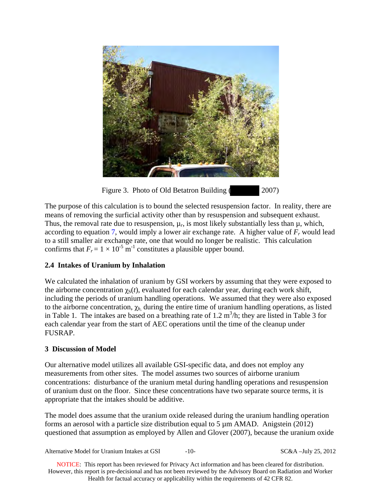

Figure 3. Photo of Old Betatron Building ( 2007)

The purpose of this calculation is to bound the selected resuspension factor. In reality, there are means of removing the surficial activity other than by resuspension and subsequent exhaust. Thus, the removal rate due to resuspension,  $\mu_r$ , is most likely substantially less than  $\mu$ , which, according to equation 7, would imply a lower air exchange rate. A higher value of  $F_r$  would lead to a still smaller air exchange rate, one that would no longer be realistic. This calculation confirms that  $F_r = 1 \times 10^{-5} \text{ m}^{-1}$  constitutes a plausible upper bound.

# **2.4 Intakes of Uranium by Inhalation**

We calculated the inhalation of uranium by GSI workers by assuming that they were exposed to the airborne concentration  $\chi_S(t)$ , evaluated for each calendar year, during each work shift, including the periods of uranium handling operations. We assumed that they were also exposed to the airborne concentration,  $\chi_h$  during the entire time of uranium handling operations, as listed in Table 1. The intakes are based on a breathing rate of  $1.2 \text{ m}^3/\text{h}$ ; they are listed in Table 3 for each calendar year from the start of AEC operations until the time of the cleanup under FUSRAP.

# **3 Discussion of Model**

Our alternative model utilizes all available GSI-specific data, and does not employ any measurements from other sites. The model assumes two sources of airborne uranium concentrations: disturbance of the uranium metal during handling operations and resuspension of uranium dust on the floor. Since these concentrations have two separate source terms, it is appropriate that the intakes should be additive.

The model does assume that the uranium oxide released during the uranium handling operation forms an aerosol with a particle size distribution equal to  $5 \mu$ m AMAD. Anigstein (2012) questioned that assumption as employed by Allen and Glover (2007), because the uranium oxide

Alternative Model for Uranium Intakes at GSI  $-10-$  SC&A –July 25, 2012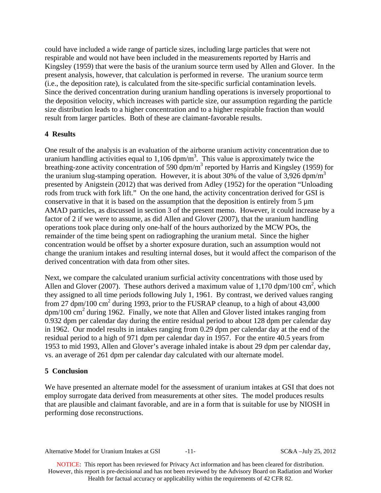could have included a wide range of particle sizes, including large particles that were not respirable and would not have been included in the measurements reported by Harris and Kingsley (1959) that were the basis of the uranium source term used by Allen and Glover. In the present analysis, however, that calculation is performed in reverse. The uranium source term (i.e., the deposition rate), is calculated from the site-specific surficial contamination levels. Since the derived concentration during uranium handling operations is inversely proportional to the deposition velocity, which increases with particle size, our assumption regarding the particle size distribution leads to a higher concentration and to a higher respirable fraction than would result from larger particles. Both of these are claimant-favorable results.

# **4 Results**

One result of the analysis is an evaluation of the airborne uranium activity concentration due to uranium handling activities equal to  $1,106$  dpm/m<sup>3</sup>. This value is approximately twice the breathing-zone activity concentration of 590 dpm/m<sup>3</sup> reported by Harris and Kingsley (1959) for the uranium slug-stamping operation. However, it is about 30% of the value of 3,926 dpm/m<sup>3</sup> presented by Anigstein (2012) that was derived from Adley (1952) for the operation "Unloading rods from truck with fork lift." On the one hand, the activity concentration derived for GSI is conservative in that it is based on the assumption that the deposition is entirely from 5 µm AMAD particles, as discussed in section 3 of the present memo. However, it could increase by a factor of 2 if we were to assume, as did Allen and Glover (2007), that the uranium handling operations took place during only one-half of the hours authorized by the MCW POs, the remainder of the time being spent on radiographing the uranium metal. Since the higher concentration would be offset by a shorter exposure duration, such an assumption would not change the uranium intakes and resulting internal doses, but it would affect the comparison of the derived concentration with data from other sites.

Next, we compare the calculated uranium surficial activity concentrations with those used by Allen and Glover (2007). These authors derived a maximum value of 1,170 dpm/100 cm<sup>2</sup>, which they assigned to all time periods following July 1, 1961. By contrast, we derived values ranging from 27 dpm/100 cm<sup>2</sup> during 1993, prior to the FUSRAP cleanup, to a high of about 43,000 dpm/100 cm<sup>2</sup> during 1962. Finally, we note that Allen and Glover listed intakes ranging from 0.932 dpm per calendar day during the entire residual period to about 128 dpm per calendar day in 1962. Our model results in intakes ranging from 0.29 dpm per calendar day at the end of the residual period to a high of 971 dpm per calendar day in 1957. For the entire 40.5 years from 1953 to mid 1993, Allen and Glover's average inhaled intake is about 29 dpm per calendar day, vs. an average of 261 dpm per calendar day calculated with our alternate model.

## **5 Conclusion**

We have presented an alternate model for the assessment of uranium intakes at GSI that does not employ surrogate data derived from measurements at other sites. The model produces results that are plausible and claimant favorable, and are in a form that is suitable for use by NIOSH in performing dose reconstructions.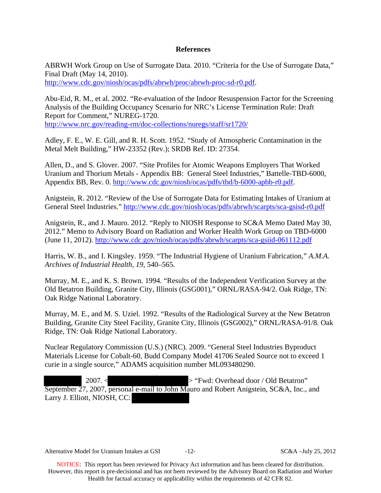### **References**

ABRWH Work Group on Use of Surrogate Data. 2010. "Criteria for the Use of Surrogate Data," Final Draft (May 14, 2010).

http://www.cdc.gov/niosh/ocas/pdfs/abrwh/proc/abrwh-proc-sd-r0.pdf.

Abu-Eid, R. M., et al. 2002. "Re-evaluation of the Indoor Resuspension Factor for the Screening Analysis of the Building Occupancy Scenario for NRC's License Termination Rule: Draft Report for Comment," NUREG-1720. http://www.nrc.gov/reading-rm/doc-collections/nuregs/staff/sr1720/

Adley, F. E., W. E. Gill, and R. H. Scott. 1952. "Study of Atmospheric Contamination in the Metal Melt Building," HW-23352 (Rev.); SRDB Ref. ID: 27354.

Allen, D., and S. Glover. 2007. "Site Profiles for Atomic Weapons Employers That Worked Uranium and Thorium Metals - Appendix BB: General Steel Industries," Battelle-TBD-6000, Appendix BB, Rev. 0. http://www.cdc.gov/niosh/ocas/pdfs/tbd/b-6000-apbb-r0.pdf.

Anigstein, R. 2012. "Review of the Use of Surrogate Data for Estimating Intakes of Uranium at General Steel Industries." http://www.cdc.gov/niosh/ocas/pdfs/abrwh/scarpts/sca-gsisd-r0.pdf

(June 11, 2012). http://www.cdc.gov/niosh/ocas/pdfs/abrwh/scarpts/sca-gsiid-061112.pdf Anigstein, R., and J. Mauro. 2012. "Reply to NIOSH Response to SC&A Memo Dated May 30, 2012." Memo to Advisory Board on Radiation and Worker Health Work Group on TBD-6000

Harris, W. B., and I. Kingsley. 1959. "The Industrial Hygiene of Uranium Fabrication," *A.M.A. Archives of Industrial Health, 19*, 540–565.

Murray, M. E., and K. S. Brown. 1994. "Results of the Independent Verification Survey at the Old Betatron Building, Granite City, Illinois (GSG001)," ORNL/RASA-94/2. Oak Ridge, TN: Oak Ridge National Laboratory.

Murray, M. E., and M. S. Uziel. 1992. "Results of the Radiological Survey at the New Betatron Building, Granite City Steel Facility, Granite City, Illinois (GSG002)," ORNL/RASA-91/8. Oak Ridge, TN: Oak Ridge National Laboratory.

Nuclear Regulatory Commission (U.S.) (NRC). 2009. "General Steel Industries Byproduct Materials License for Cobalt-60, Budd Company Model 41706 Sealed Source not to exceed 1 curie in a single source," ADAMS acquisition number ML093480290.

 2007. < > "Fwd: Overhead door / Old Betatron" September 27, 2007, personal e-mail to John Mauro and Robert Anigstein, SC&A, Inc., and Larry J. Elliott, NIOSH, CC:

Alternative Model for Uranium Intakes at GSI  $-12$ - SC&A –July 25, 2012